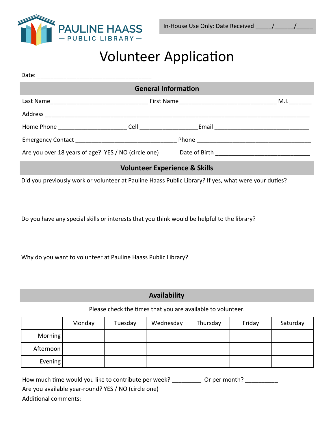

## Volunteer Application

| <b>General Information</b>               |  |  |  |  |  |  |
|------------------------------------------|--|--|--|--|--|--|
|                                          |  |  |  |  |  |  |
|                                          |  |  |  |  |  |  |
|                                          |  |  |  |  |  |  |
|                                          |  |  |  |  |  |  |
|                                          |  |  |  |  |  |  |
| <b>Volunteer Experience &amp; Skills</b> |  |  |  |  |  |  |

Did you previously work or volunteer at Pauline Haass Public Library? If yes, what were your duties?

Do you have any special skills or interests that you think would be helpful to the library?

Why do you want to volunteer at Pauline Haass Public Library?

## **Availability**

Please check the times that you are available to volunteer.

|           | Monday | Tuesday | Wednesday | Thursday | Friday | Saturday |
|-----------|--------|---------|-----------|----------|--------|----------|
| Morning   |        |         |           |          |        |          |
| Afternoon |        |         |           |          |        |          |
| Evening   |        |         |           |          |        |          |

| How much time would you like to contribute per week? | Or per month? |
|------------------------------------------------------|---------------|
| Are you available year-round? YES / NO (circle one)  |               |
| المنقصر ومستمره والمستملك فالمامان                   |               |

Additional comments: